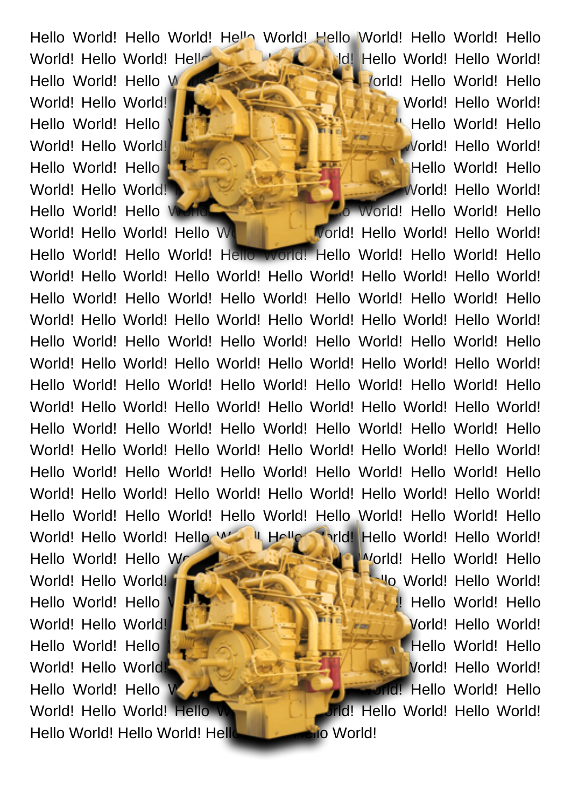World! Hello World! Hello World! Hello World! Hello World! Hello World! Hello World! Hello World! Hello World! Hello World! Hello World! Hello World! Hello World! Hello World! Hello World! Hello World! Hello World! Hello World! Hello World! Hello World! Hello World! Hello World! Hello World! Hello World! Hello World! Hello World! Hello World! Hello World! Hello World! Hello World! Hello World! Hello World! Hello World! Hello World! Hello World! Hello World! Hello World! Hello World! Hello World! Hello World! Hello World! Hello **Morld!** Hello World!

World! Hello World! Hello World! Hello World! Hello World! Hello World! Hello World! Hello World! Hello World! Hello World! Hello World! Hello World! **Hello World!** Hello World! Hello World! Hello World! Hello World! Hello World! Hello World! Hello World! Hello World! Hello World! **The Communist Communist Communist Communist Communist Communist Communist Communist Communist Communist Communist Communist Communist Communist Communist Communist Communist Communist Communist Communi** Hello World! Hello World! Hello World! Hello World! Hello World! Hello World! Hello World! **Manual Manual Manual Property World!** Hello World! Hello World! Hello World! Hello World! Hello World! Hello World! Hello World! Hello World! Hello World! Hello World! Hello World! Hello World! Hello World! Hello World! Hello World! Hello World! Hello World! Hello World! Hello World! Hello World! Hello World! Hello World! Hello World! Hello World! Hello World! Hello World! Hello World! Hello World! Hello

Hello World! Hello World! Hello World! Hello World! Hello World! Hello World! Hello World! Hello World! Hello World! Hello World! Hello World! Hello World! Hello World! Hello World! Hello World! Hello World! Hello World! Hello World! Hello W. II Hello Thild! Hello World! Hello World! Hello World! Hello World **Allows And Morld! Hello World! Hello** World! Hello World! **Hello World!** Hello World! Hello World! Hello World! Hello World! Hello World! Hello World! Hello World! Hello World! Hello World! **Hello World!** Hello World! Hello World! Hello World! Hello World! Hello World! Hello World! Hello World! Hello World! Hello World! Morld! Hello World! Hello World! Hello World! Hello World! Hello World! Hello World! Hello World! Hello World! Hello World! Hello World! Hello World! Hello World!